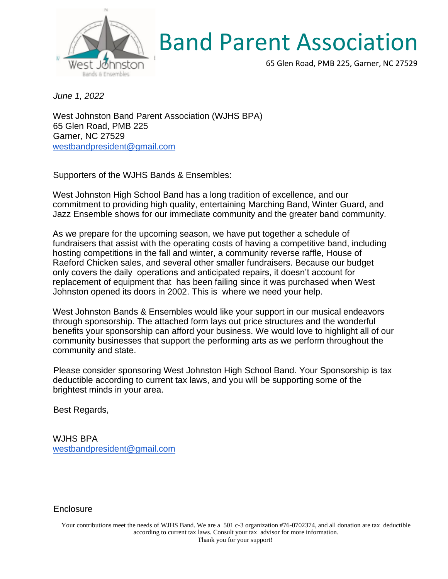

## Band Parent Association

65 Glen Road, PMB 225, Garner, NC 27529

*June 1, 2022*

West Johnston Band Parent Association (WJHS BPA) 65 Glen Road, PMB 225 Garner, NC 27529 [westbandpresident@gmail.com](mailto:westbandpresident@gmail.com)

Supporters of the WJHS Bands & Ensembles:

West Johnston High School Band has a long tradition of excellence, and our commitment to providing high quality, entertaining Marching Band, Winter Guard, and Jazz Ensemble shows for our immediate community and the greater band community.

As we prepare for the upcoming season, we have put together a schedule of fundraisers that assist with the operating costs of having a competitive band, including hosting competitions in the fall and winter, a community reverse raffle, House of Raeford Chicken sales, and several other smaller fundraisers. Because our budget only covers the daily operations and anticipated repairs, it doesn't account for replacement of equipment that has been failing since it was purchased when West Johnston opened its doors in 2002. This is where we need your help.

West Johnston Bands & Ensembles would like your support in our musical endeavors through sponsorship. The attached form lays out price structures and the wonderful benefits your sponsorship can afford your business. We would love to highlight all of our community businesses that support the performing arts as we perform throughout the community and state.

Please consider sponsoring West Johnston High School Band. Your Sponsorship is tax deductible according to current tax laws, and you will be supporting some of the brightest minds in your area.

Best Regards,

WJHS BPA [westbandpresident@gmail.com](mailto:westbandpresident@gmail.com)

**Enclosure**